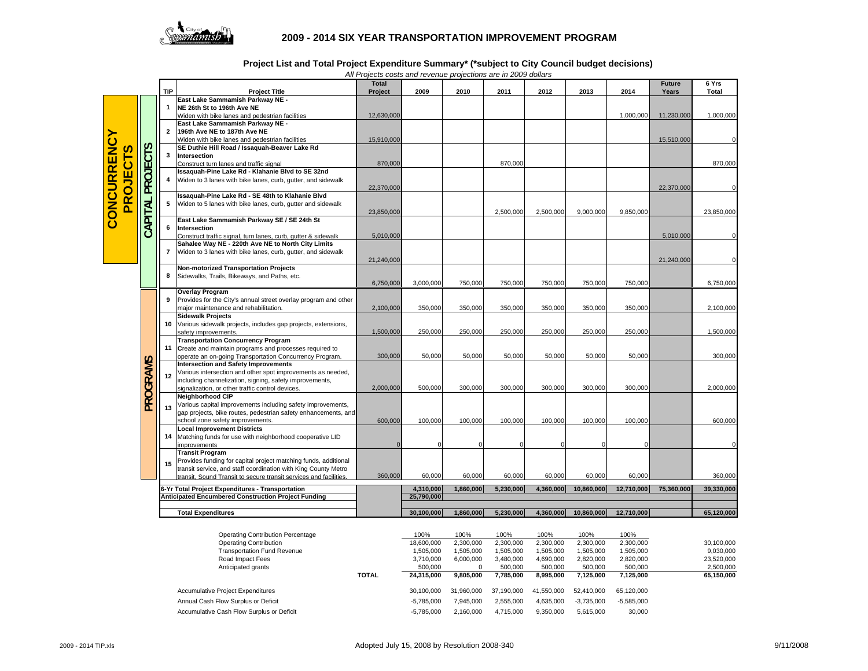

## **2009 - 2014 SIX YEAR TRANSPORTATION IMPROVEMENT PROGRAM**

**Project List and Total Project Expenditure Summary\* (\*subject to City Council budget decisions)**

|                                                                 |                                                  | <b>TIP</b>                | <b>Project Title</b>                                                                                                                                                                                                             | All Projects costs and revenue projections are in 2009 dollars<br><b>Total</b><br>Project | 2009                    | 2010      | 2011      | 2012      | 2013       | 2014       | <b>Future</b><br>Years  | 6 Yrs<br>Total |
|-----------------------------------------------------------------|--------------------------------------------------|---------------------------|----------------------------------------------------------------------------------------------------------------------------------------------------------------------------------------------------------------------------------|-------------------------------------------------------------------------------------------|-------------------------|-----------|-----------|-----------|------------|------------|-------------------------|----------------|
| <b>CONCURRENCY</b><br><b>ROJECTS</b><br>$\overline{\mathbf{a}}$ | <b>PROJECTS</b><br>CAPITAL                       | 1                         | East Lake Sammamish Parkway NE -<br>NE 26th St to 196th Ave NE                                                                                                                                                                   |                                                                                           |                         |           |           |           |            |            |                         |                |
|                                                                 |                                                  | $\mathbf{2}$              | Widen with bike lanes and pedestrian facilities<br>East Lake Sammamish Parkway NE -<br>196th Ave NE to 187th Ave NE                                                                                                              | 12,630,000                                                                                |                         |           |           |           |            | 1,000,000  | 11,230,000              | 1,000,000      |
|                                                                 |                                                  |                           | Widen with bike lanes and pedestrian facilities<br>SE Duthie Hill Road / Issaquah-Beaver Lake Rd                                                                                                                                 | 15,910,000                                                                                |                         |           |           |           |            |            | 15,510,000              |                |
|                                                                 |                                                  | 3                         | Intersection<br>Construct turn lanes and traffic signal                                                                                                                                                                          | 870,000                                                                                   |                         |           | 870,000   |           |            |            |                         | 870,000        |
|                                                                 |                                                  | 4                         | Issaquah-Pine Lake Rd - Klahanie Blvd to SE 32nd<br>Widen to 3 lanes with bike lanes, curb, gutter, and sidewalk                                                                                                                 | 22,370,000                                                                                |                         |           |           |           |            |            | 22,370,000              |                |
|                                                                 |                                                  | 5                         | Issaquah-Pine Lake Rd - SE 48th to Klahanie Blvd<br>Widen to 5 lanes with bike lanes, curb, gutter and sidewalk                                                                                                                  | 23,850,000                                                                                |                         |           | 2,500,000 | 2,500,000 | 9,000,000  | 9,850,000  |                         | 23,850,000     |
|                                                                 |                                                  | 6                         | East Lake Sammamish Parkway SE / SE 24th St<br>Intersection                                                                                                                                                                      |                                                                                           |                         |           |           |           |            |            |                         |                |
|                                                                 |                                                  | 7                         | Construct traffic signal, turn lanes, curb, gutter & sidewalk<br>Sahalee Way NE - 220th Ave NE to North City Limits<br>Widen to 3 lanes with bike lanes, curb, gutter, and sidewalk                                              | 5,010,000<br>21,240,000                                                                   |                         |           |           |           |            |            | 5,010,000<br>21,240,000 |                |
|                                                                 |                                                  | 8                         | <b>Non-motorized Transportation Projects</b><br>Sidewalks, Trails, Bikeways, and Paths, etc.                                                                                                                                     | 6,750,000                                                                                 | 3,000,000               | 750,000   | 750,000   | 750,000   | 750,000    | 750,000    |                         | 6,750,000      |
|                                                                 | PROGRAMS                                         | 9                         | <b>Overlay Program</b><br>Provides for the City's annual street overlay program and other<br>major maintenance and rehabilitation.                                                                                               | 2,100,000                                                                                 | 350,000                 | 350,000   | 350,000   | 350,000   | 350,000    | 350,000    |                         | 2,100,000      |
|                                                                 |                                                  | 10                        | <b>Sidewalk Projects</b><br>Various sidewalk projects, includes gap projects, extensions,<br>safety improvements.                                                                                                                | 1,500,000                                                                                 | 250,000                 | 250,000   | 250,000   | 250,000   | 250,000    | 250,000    |                         | 1,500,000      |
|                                                                 |                                                  |                           | <b>Transportation Concurrency Program</b><br>11 Create and maintain programs and processes required to<br>operate an on-going Transportation Concurrency Program.                                                                | 300,000                                                                                   | 50,000                  | 50,000    | 50,000    | 50,000    | 50,000     | 50,000     |                         | 300,000        |
|                                                                 |                                                  | 12                        | <b>Intersection and Safety Improvements</b><br>Various intersection and other spot improvements as needed,<br>including channelization, signing, safety improvements,<br>signalization, or other traffic control devices.        | 2,000,000                                                                                 | 500,000                 | 300,000   | 300,000   | 300,000   | 300,000    | 300,000    |                         | 2,000,000      |
|                                                                 |                                                  | 13                        | <b>Neighborhood CIP</b><br>Various capital improvements including safety improvements,<br>gap projects, bike routes, pedestrian safety enhancements, and<br>school zone safety improvements.                                     | 600,000                                                                                   | 100,000                 | 100,000   | 100,000   | 100,000   | 100,000    | 100,000    |                         | 600,000        |
|                                                                 |                                                  | 14                        | <b>Local Improvement Districts</b><br>Matching funds for use with neighborhood cooperative LID<br>improvements                                                                                                                   |                                                                                           | $\Omega$                |           |           |           | $\Omega$   | $\Omega$   |                         |                |
|                                                                 |                                                  | 15                        | <b>Transit Program</b><br>Provides funding for capital project matching funds, additional<br>transit service, and staff coordination with King County Metro<br>transit. Sound Transit to secure transit services and facilities. | 360,000                                                                                   | 60,000                  | 60,000    | 60,000    | 60,000    | 60,000     | 60,000     |                         | 360,000        |
|                                                                 |                                                  |                           |                                                                                                                                                                                                                                  |                                                                                           |                         |           |           |           |            |            |                         |                |
|                                                                 | 6-Yr Total Project Expenditures - Transportation |                           | <b>Anticipated Encumbered Construction Project Funding</b>                                                                                                                                                                       |                                                                                           | 4,310,000<br>25,790,000 | 1,860,000 | 5,230,000 | 4,360,000 | 10,860,000 | 12,710,000 | 75,360,000              | 39,330,000     |
|                                                                 |                                                  | <b>Total Expenditures</b> |                                                                                                                                                                                                                                  |                                                                                           | 30,100,000              | 1,860,000 | 5,230,000 | 4,360,000 | 10,860,000 | 12,710,000 |                         | 65,120,000     |

*All Projects costs and revenue projections are in 2009 dollars*

|                                           | <b>Operating Contribution Percentage</b> |              | 100%         | 100%<br>2,300,000 | 100%<br>2,300,000 | 100%<br>2.300.000 | 100%<br>2,300,000 | 100%<br>2,300,000 | 30,100,000 |
|-------------------------------------------|------------------------------------------|--------------|--------------|-------------------|-------------------|-------------------|-------------------|-------------------|------------|
|                                           | <b>Operating Contribution</b>            |              | 18,600,000   |                   |                   |                   |                   |                   |            |
|                                           | <b>Transportation Fund Revenue</b>       |              | 1,505,000    | 1,505,000         | 1,505,000         | 1.505.000         | 1,505,000         | 1,505,000         | 9,030,000  |
|                                           | Road Impact Fees                         |              | 3,710,000    | 6,000,000         | 3,480,000         | 4,690,000         | 2,820,000         | 2,820,000         | 23,520,000 |
|                                           | Anticipated grants                       |              | 500.000      |                   | 500.000           | 500.000           | 500.000           | 500,000           | 2,500,000  |
|                                           |                                          | <b>TOTAL</b> | 24.315.000   | 9.805.000         | 7.785.000         | 8.995.000         | 7.125.000         | 7.125.000         | 65,150,000 |
| <b>Accumulative Project Expenditures</b>  |                                          |              | 30.100.000   | 31.960.000        | 37.190.000        | 41.550.000        | 52.410.000        | 65.120.000        |            |
| Annual Cash Flow Surplus or Deficit       |                                          |              | $-5.785.000$ | 7.945.000         | 2.555.000         | 4.635.000         | $-3.735.000$      | $-5.585.000$      |            |
| Accumulative Cash Flow Surplus or Deficit |                                          | $-5.785.000$ | 2.160.000    | 4.715.000         | 9.350.000         | 5.615.000         | 30,000            |                   |            |
|                                           |                                          |              |              |                   |                   |                   |                   |                   |            |